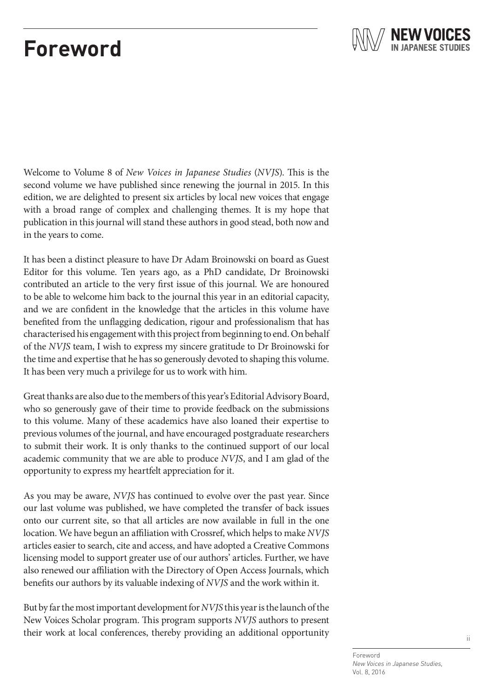## **Foreword**



Welcome to Volume 8 of *New Voices in Japanese Studies* (*NVJS*). This is the second volume we have published since renewing the journal in 2015. In this edition, we are delighted to present six articles by local new voices that engage with a broad range of complex and challenging themes. It is my hope that publication in this journal will stand these authors in good stead, both now and in the years to come.

It has been a distinct pleasure to have Dr Adam Broinowski on board as Guest Editor for this volume. Ten years ago, as a PhD candidate, Dr Broinowski contributed an article to the very first issue of this journal. We are honoured to be able to welcome him back to the journal this year in an editorial capacity, and we are confident in the knowledge that the articles in this volume have benefited from the unflagging dedication, rigour and professionalism that has characterised his engagement with this project from beginning to end. On behalf of the *NVJS* team, I wish to express my sincere gratitude to Dr Broinowski for the time and expertise that he has so generously devoted to shaping this volume. It has been very much a privilege for us to work with him.

Great thanks are also due to the members of this year's Editorial Advisory Board, who so generously gave of their time to provide feedback on the submissions to this volume. Many of these academics have also loaned their expertise to previous volumes of the journal, and have encouraged postgraduate researchers to submit their work. It is only thanks to the continued support of our local academic community that we are able to produce *NVJS*, and I am glad of the opportunity to express my heartfelt appreciation for it.

As you may be aware, *NVJS* has continued to evolve over the past year. Since our last volume was published, we have completed the transfer of back issues onto our current site, so that all articles are now available in full in the one location. We have begun an affiliation with Crossref, which helps to make *NVJS* articles easier to search, cite and access, and have adopted a Creative Commons licensing model to support greater use of our authors' articles. Further, we have also renewed our affiliation with the Directory of Open Access Journals, which benefits our authors by its valuable indexing of *NVJS* and the work within it.

But by far the most important development for *NVJS* this year is the launch of the New Voices Scholar program. This program supports *NVJS* authors to present their work at local conferences, thereby providing an additional opportunity